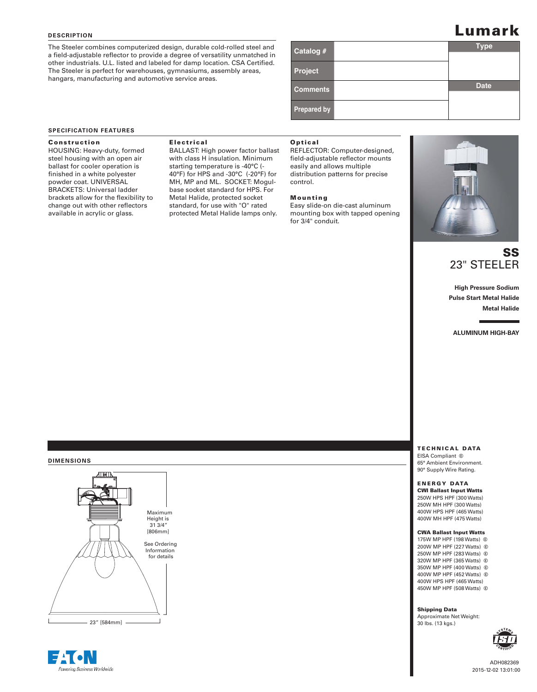## **DESCRIPTION**

The Steeler combines computerized design, durable cold-rolled steel and a field-adjustable reflector to provide a degree of versatility unmatched in other industrials. U.L. listed and labeled for damp location. CSA Certified. The Steeler is perfect for warehouses, gymnasiums, assembly areas, hangars, manufacturing and automotive service areas.

# **L**umark

| Catalog #          | <b>Type</b> |
|--------------------|-------------|
|                    |             |
| Project            |             |
| <b>Comments</b>    | <b>Date</b> |
|                    |             |
| <b>Prepared by</b> |             |

## **SPECIFICATION FEATURES**

**HOUSING: Heavy-duty, formed** steel housing with an open air ballast for cooler operation is finished in a white polyester powder coat. UNIVERSAL BRACKETS: Universal ladder brackets allow for the flexibility to change out with other reflectors available in acrylic or glass.

**BALLAST: High power factor ballast** with class H insulation. Minimum starting temperature is -40°C (- 40°F) for HPS and -30°C (-20°F) for MH, MP and ML. SOCKET: Mogulbase socket standard for HPS. For Metal Halide, protected socket standard, for use with "O" rated protected Metal Halide lamps only.

REFLECTOR: Computer-designed, field-adjustable reflector mounts easily and allows multiple distribution patterns for precise control.

Easy slide-on die-cast aluminum mounting box with tapped opening for 3/4" conduit.



## SS 23" STEELER

**High Pressure Sodium Pulse Start Metal Halide Metal Halide**

**ALUMINUM HIGH-BAY**

EISA Compliant <sup>©</sup> 65° Ambient Environment. 90° Supply Wire Rating.

## **ENERGY DATA CWI Ballast Input Watts** 250W HPS HPF (300 Watts) 250W MH HPF (300 Watts) 400W HPS HPF (465 Watts) 400W MH HPF (475 Watts)

175W MP HPF (198 Watts) **C** 200W MP HPF (227 Watts) G 250W MP HPF (283 Watts) G 320W MP HPF (365 Watts) G 350W MP HPF (400 Watts) G 400W MP HPF (452 Watts) G 400W HPS HPF (465 Watts) 450W MP HPF (508 Watts) G

**Approximate Net Weight:** 30 lbs. (13 kgs.)



ADH082369 201 5-1 2-0 2 13:01:00

## **DIMENSIONS**



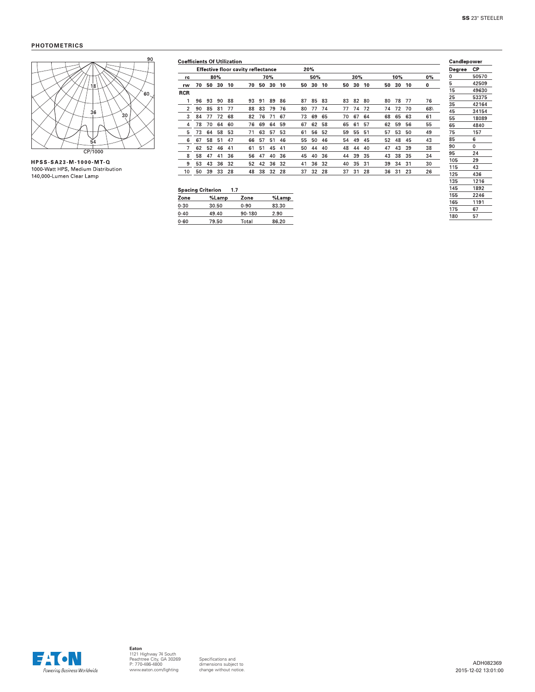## **PHOTOMETRICS**



HPSS-SA23-M-1000-MT-Q 1000-Watt HPS, Medium Distribution 140,000-Lumen Clear Lamp

|            | <b>Effective floor cavity reflectance</b> |    |     |    |    |    |     | 20% |    |     |    |    |     |    |    |     |    |     |
|------------|-------------------------------------------|----|-----|----|----|----|-----|-----|----|-----|----|----|-----|----|----|-----|----|-----|
| rc         |                                           |    | 80% |    |    |    | 70% |     |    | 50% |    |    | 30% |    |    | 10% |    | 0%  |
| rw         | 70                                        | 50 | 30  | 10 | 70 | 50 | 30  | 10  | 50 | 30  | 10 | 50 | 30  | 10 | 50 | 30  | 10 | 0   |
| <b>RCR</b> |                                           |    |     |    |    |    |     |     |    |     |    |    |     |    |    |     |    |     |
|            | 96                                        | 93 | 90  | 88 | 93 | 91 | 89  | 86  | 87 | 85  | 83 | 83 | 82  | 80 | 80 | 78  | 77 | 76  |
| 2          | 90                                        | 85 | 81  | 77 | 88 | 83 | 79  | 76  | 80 | 77  | 74 | 77 | 74  | 72 | 74 | 72  | 70 | 68\ |
| 3          | 84                                        | 77 | 72  | 68 | 82 | 76 | 71  | 67  | 73 | 69  | 65 | 70 | 67  | 64 | 68 | 65  | 63 | 61  |
| 4          | 78                                        | 70 | 64  | 60 | 76 | 69 | 64  | 59  | 67 | 62  | 58 | 65 | 61  | 57 | 62 | 59  | 56 | 55  |
| 5          | 73                                        | 64 | 58  | 53 | 71 | 63 | 57  | 53  | 61 | 56  | 52 | 59 | 55  | 51 | 57 | 53  | 50 | 49  |
| 6          | 67                                        | 58 | 51  | 47 | 66 | 57 | 51  | 46  | 55 | 50  | 46 | 54 | 49  | 45 | 52 | 48  | 45 | 43  |
|            | 62                                        | 52 | 46  | 41 | 61 | 51 | 45  | 41  | 50 | 44  | 40 | 48 | 44  | 40 | 47 | 43  | 39 | 38  |
| 8          | 58                                        | 47 | 41  | 36 | 56 | 47 | 40  | 36  | 45 | 40  | 36 | 44 | 39  | 35 | 43 | 38  | 35 | 34  |
| 9          | 53                                        | 43 | 36  | 32 | 52 | 42 | 36  | 32  | 41 | 36  | 32 | 40 | 35  | 31 | 39 | 34  | 31 | 30  |
| 10         | 50                                        | 39 | 33  | 28 | 48 | 38 | 32  | 28  | 37 | 32  | 28 | 37 | 31  | 28 | 36 | 31  | 23 | 26  |

## Spacing Criterion 1.7

| Spacing Criterion<br>ı. <i>I</i> |       |          |       |  |  |  |  |  |
|----------------------------------|-------|----------|-------|--|--|--|--|--|
| Zone                             | %Lamp | Zone     | %Lamp |  |  |  |  |  |
| $0 - 30$                         | 30.50 | $0 - 90$ | 83.30 |  |  |  |  |  |
| $0 - 40$                         | 49.40 | 90-180   | 2.90  |  |  |  |  |  |
| $0 - 60$                         | 79.50 | Total    | 86.20 |  |  |  |  |  |
|                                  |       |          |       |  |  |  |  |  |

| Candlepower |          |  |  |  |  |
|-------------|----------|--|--|--|--|
| Degree      | СP       |  |  |  |  |
| 0           | 50570    |  |  |  |  |
| 5           | 42509    |  |  |  |  |
| 15          | 49630    |  |  |  |  |
| 25          | 53375    |  |  |  |  |
| 35          | 42164    |  |  |  |  |
| 45          | 34154    |  |  |  |  |
| 55          | 18089    |  |  |  |  |
| 65          | 4840     |  |  |  |  |
| 75          | 157      |  |  |  |  |
| 85          | 6        |  |  |  |  |
| 90          | $\Omega$ |  |  |  |  |
| 95          | 24       |  |  |  |  |
| 105         | 29       |  |  |  |  |
| 115         | 43       |  |  |  |  |
| 125         | 436      |  |  |  |  |
| 135         | 1216     |  |  |  |  |
| 145         | 1892     |  |  |  |  |
| 155         | 2246     |  |  |  |  |
| 165         | 1191     |  |  |  |  |
| 175         | 67       |  |  |  |  |
| 180         | 57       |  |  |  |  |
|             |          |  |  |  |  |